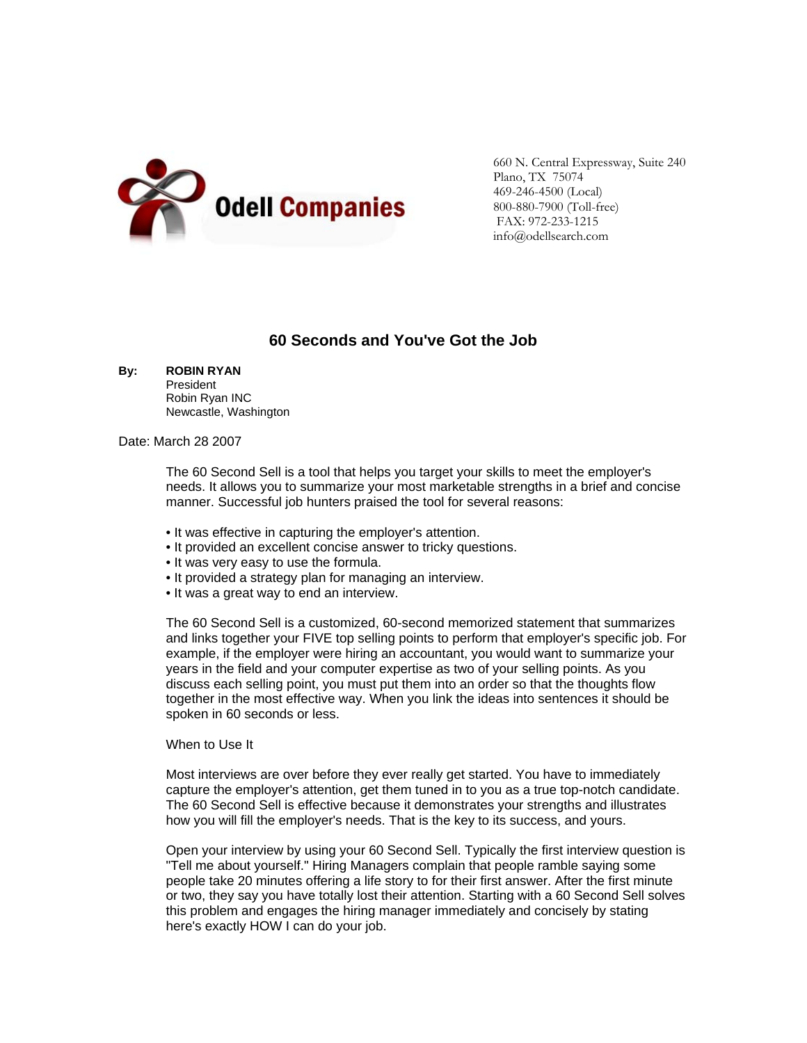

660 N. Central Expressway, Suite 240 Plano, TX 75074 469-246-4500 (Local) 800-880-7900 (Toll-free) FAX: 972-233-1215 info@odellsearch.com

## **60 Seconds and You've Got the Job**

| By: | <b>ROBIN RYAN</b> |
|-----|-------------------|
|     |                   |

President Robin Ryan INC Newcastle, Washington

## Date: March 28 2007

 The 60 Second Sell is a tool that helps you target your skills to meet the employer's needs. It allows you to summarize your most marketable strengths in a brief and concise manner. Successful job hunters praised the tool for several reasons:

- It was effective in capturing the employer's attention.
- It provided an excellent concise answer to tricky questions.
- It was very easy to use the formula.
- It provided a strategy plan for managing an interview.
- It was a great way to end an interview.

The 60 Second Sell is a customized, 60-second memorized statement that summarizes and links together your FIVE top selling points to perform that employer's specific job. For example, if the employer were hiring an accountant, you would want to summarize your years in the field and your computer expertise as two of your selling points. As you discuss each selling point, you must put them into an order so that the thoughts flow together in the most effective way. When you link the ideas into sentences it should be spoken in 60 seconds or less.

## When to Use It

Most interviews are over before they ever really get started. You have to immediately capture the employer's attention, get them tuned in to you as a true top-notch candidate. The 60 Second Sell is effective because it demonstrates your strengths and illustrates how you will fill the employer's needs. That is the key to its success, and yours.

Open your interview by using your 60 Second Sell. Typically the first interview question is "Tell me about yourself." Hiring Managers complain that people ramble saying some people take 20 minutes offering a life story to for their first answer. After the first minute or two, they say you have totally lost their attention. Starting with a 60 Second Sell solves this problem and engages the hiring manager immediately and concisely by stating here's exactly HOW I can do your job.